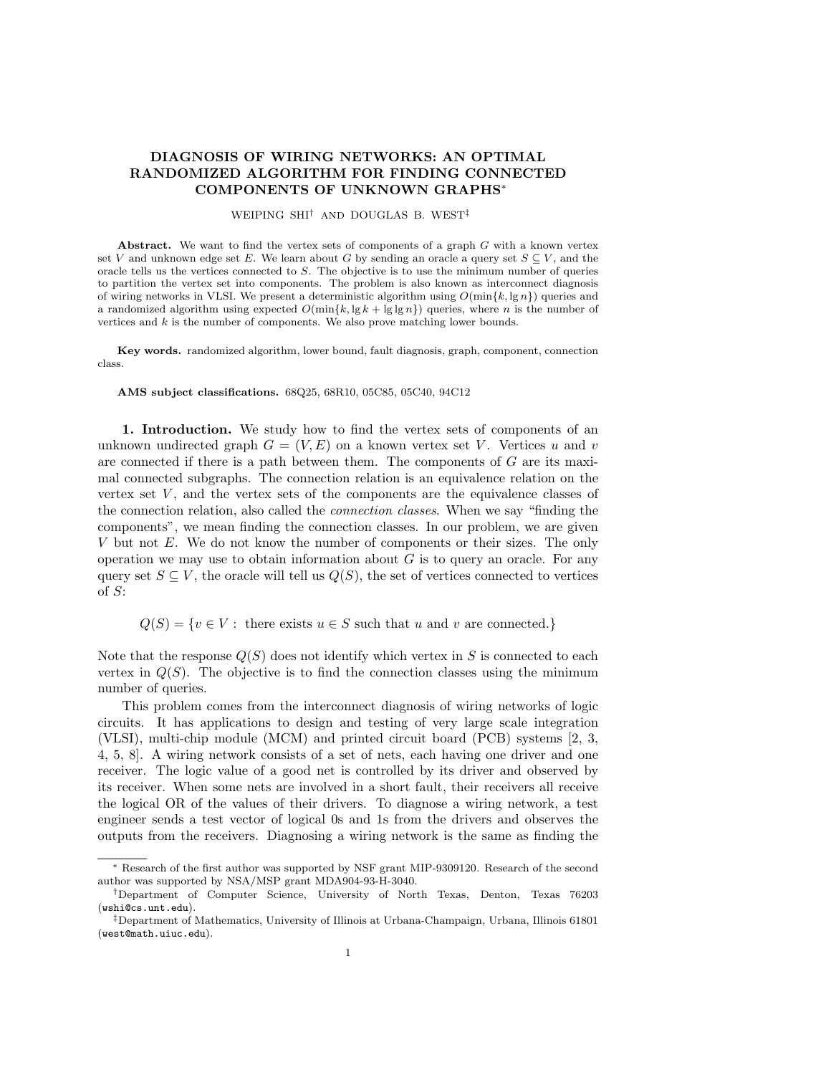## DIAGNOSIS OF WIRING NETWORKS: AN OPTIMAL RANDOMIZED ALGORITHM FOR FINDING CONNECTED COMPONENTS OF UNKNOWN GRAPHS<sup>∗</sup>

WEIPING SHI† AND DOUGLAS B. WEST‡

Abstract. We want to find the vertex sets of components of a graph  $G$  with a known vertex set V and unknown edge set E. We learn about G by sending an oracle a query set  $S \subseteq V$ , and the oracle tells us the vertices connected to S. The objective is to use the minimum number of queries to partition the vertex set into components. The problem is also known as interconnect diagnosis of wiring networks in VLSI. We present a deterministic algorithm using  $O(\min\{k, \lg n\})$  queries and a randomized algorithm using expected  $O(\min\{k, \lg k + \lg \lg n\})$  queries, where n is the number of vertices and  $k$  is the number of components. We also prove matching lower bounds.

Key words. randomized algorithm, lower bound, fault diagnosis, graph, component, connection class.

AMS subject classifications. 68Q25, 68R10, 05C85, 05C40, 94C12

1. Introduction. We study how to find the vertex sets of components of an unknown undirected graph  $G = (V, E)$  on a known vertex set V. Vertices u and v are connected if there is a path between them. The components of  $G$  are its maximal connected subgraphs. The connection relation is an equivalence relation on the vertex set  $V$ , and the vertex sets of the components are the equivalence classes of the connection relation, also called the connection classes. When we say "finding the components", we mean finding the connection classes. In our problem, we are given V but not E. We do not know the number of components or their sizes. The only operation we may use to obtain information about  $G$  is to query an oracle. For any query set  $S \subseteq V$ , the oracle will tell us  $Q(S)$ , the set of vertices connected to vertices of S:

 $Q(S) = \{v \in V : \text{ there exists } u \in S \text{ such that } u \text{ and } v \text{ are connected.}\}\$ 

Note that the response  $Q(S)$  does not identify which vertex in S is connected to each vertex in  $Q(S)$ . The objective is to find the connection classes using the minimum number of queries.

This problem comes from the interconnect diagnosis of wiring networks of logic circuits. It has applications to design and testing of very large scale integration (VLSI), multi-chip module (MCM) and printed circuit board (PCB) systems [2, 3, 4, 5, 8]. A wiring network consists of a set of nets, each having one driver and one receiver. The logic value of a good net is controlled by its driver and observed by its receiver. When some nets are involved in a short fault, their receivers all receive the logical OR of the values of their drivers. To diagnose a wiring network, a test engineer sends a test vector of logical 0s and 1s from the drivers and observes the outputs from the receivers. Diagnosing a wiring network is the same as finding the

<sup>∗</sup> Research of the first author was supported by NSF grant MIP-9309120. Research of the second author was supported by NSA/MSP grant MDA904-93-H-3040.

<sup>†</sup>Department of Computer Science, University of North Texas, Denton, Texas 76203  $(wshi@cs.unt.edu).$ 

<sup>‡</sup>Department of Mathematics, University of Illinois at Urbana-Champaign, Urbana, Illinois 61801 (west@math.uiuc.edu).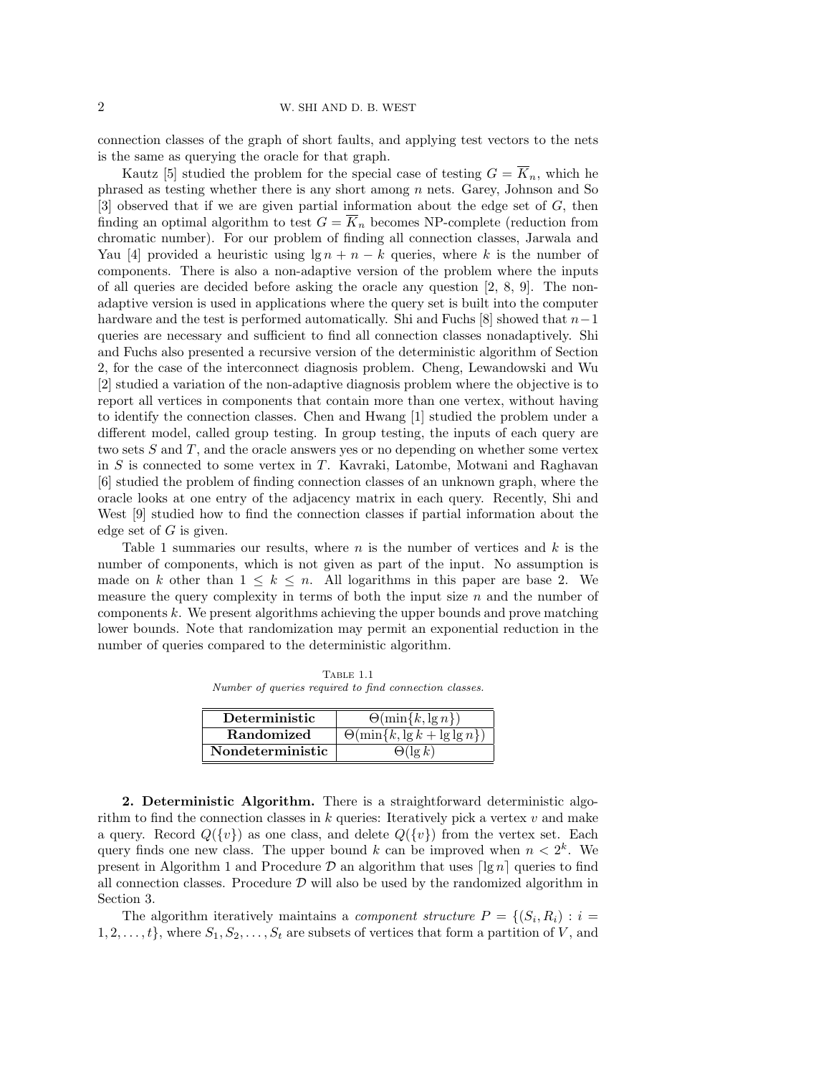connection classes of the graph of short faults, and applying test vectors to the nets is the same as querying the oracle for that graph.

Kautz [5] studied the problem for the special case of testing  $G = \overline{K}_n$ , which he phrased as testing whether there is any short among  $n$  nets. Garey, Johnson and So [3] observed that if we are given partial information about the edge set of G, then finding an optimal algorithm to test  $G = \overline{K}_n$  becomes NP-complete (reduction from chromatic number). For our problem of finding all connection classes, Jarwala and Yau [4] provided a heuristic using  $\lg n + n - k$  queries, where k is the number of components. There is also a non-adaptive version of the problem where the inputs of all queries are decided before asking the oracle any question [2, 8, 9]. The nonadaptive version is used in applications where the query set is built into the computer hardware and the test is performed automatically. Shi and Fuchs [8] showed that  $n-1$ queries are necessary and sufficient to find all connection classes nonadaptively. Shi and Fuchs also presented a recursive version of the deterministic algorithm of Section 2, for the case of the interconnect diagnosis problem. Cheng, Lewandowski and Wu [2] studied a variation of the non-adaptive diagnosis problem where the objective is to report all vertices in components that contain more than one vertex, without having to identify the connection classes. Chen and Hwang [1] studied the problem under a different model, called group testing. In group testing, the inputs of each query are two sets  $S$  and  $T$ , and the oracle answers yes or no depending on whether some vertex in S is connected to some vertex in T. Kavraki, Latombe, Motwani and Raghavan [6] studied the problem of finding connection classes of an unknown graph, where the oracle looks at one entry of the adjacency matrix in each query. Recently, Shi and West [9] studied how to find the connection classes if partial information about the edge set of  $G$  is given.

Table 1 summaries our results, where  $n$  is the number of vertices and  $k$  is the number of components, which is not given as part of the input. No assumption is made on k other than  $1 \leq k \leq n$ . All logarithms in this paper are base 2. We measure the query complexity in terms of both the input size  $n$  and the number of components k. We present algorithms achieving the upper bounds and prove matching lower bounds. Note that randomization may permit an exponential reduction in the number of queries compared to the deterministic algorithm.

Table 1.1 Number of queries required to find connection classes.

| Deterministic     | $\Theta(\min\{k, \lg n\})$             |
|-------------------|----------------------------------------|
| <b>Randomized</b> | $\Theta(\min\{k, \lg k + \lg \lg n\})$ |
| Nondeterministic  | $\Theta(\log k)$                       |

2. Deterministic Algorithm. There is a straightforward deterministic algorithm to find the connection classes in  $k$  queries: Iteratively pick a vertex  $v$  and make a query. Record  $Q({v})$  as one class, and delete  $Q({v})$  from the vertex set. Each query finds one new class. The upper bound k can be improved when  $n < 2<sup>k</sup>$ . We present in Algorithm 1 and Procedure  $\mathcal D$  an algorithm that uses  $\lceil \lg n \rceil$  queries to find all connection classes. Procedure  $\mathcal D$  will also be used by the randomized algorithm in Section 3.

The algorithm iteratively maintains a *component structure*  $P = \{(S_i, R_i) : i =$  $1, 2, \ldots, t\}$ , where  $S_1, S_2, \ldots, S_t$  are subsets of vertices that form a partition of V, and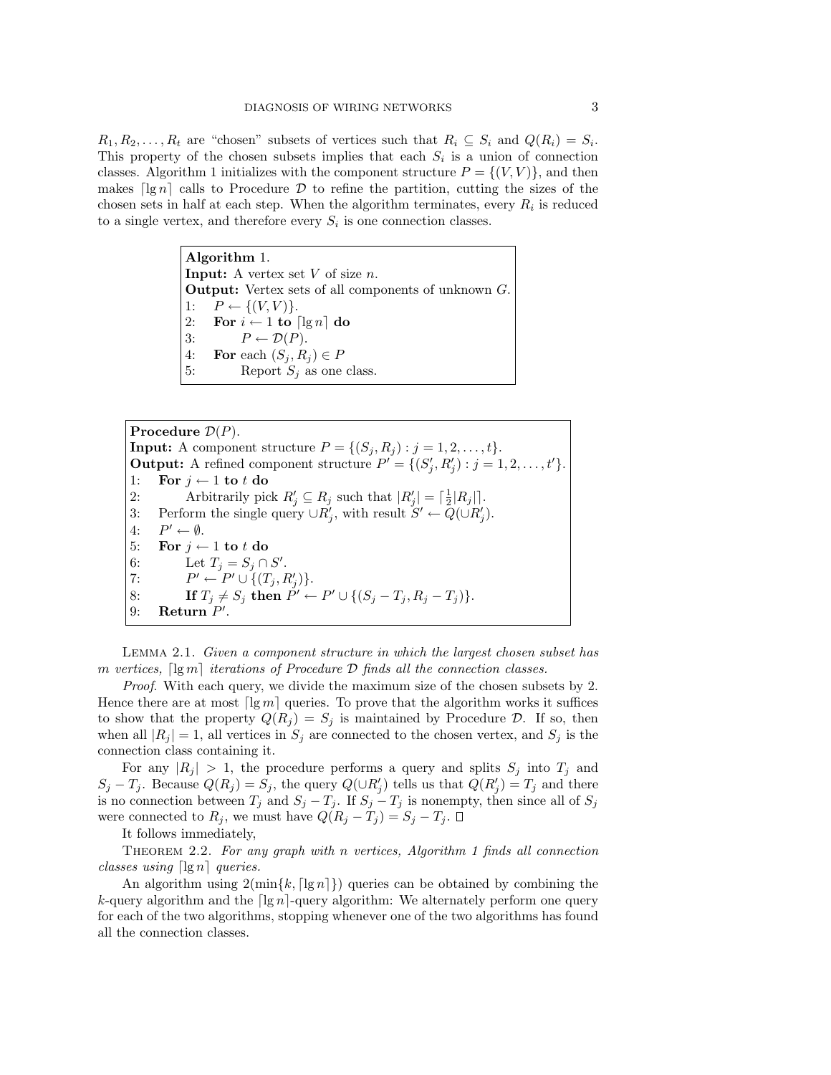$R_1, R_2, \ldots, R_t$  are "chosen" subsets of vertices such that  $R_i \subseteq S_i$  and  $Q(R_i) = S_i$ . This property of the chosen subsets implies that each  $S_i$  is a union of connection classes. Algorithm 1 initializes with the component structure  $P = \{(V, V)\}\$ , and then makes  $\lceil \lg n \rceil$  calls to Procedure D to refine the partition, cutting the sizes of the chosen sets in half at each step. When the algorithm terminates, every  $R_i$  is reduced to a single vertex, and therefore every  $S_i$  is one connection classes.

> Algorithm 1. **Input:** A vertex set  $V$  of size  $n$ . Output: Vertex sets of all components of unknown G. 1:  $P \leftarrow \{(V, V)\}.$ 2: For  $i \leftarrow 1$  to  $\lceil \lg n \rceil$  do 3:  $P \leftarrow \mathcal{D}(P)$ . 4: For each  $(S_j, R_j) \in P$ 5: Report  $S_j$  as one class.

Procedure  $\mathcal{D}(P)$ . **Input:** A component structure  $P = \{(S_j, R_j) : j = 1, 2, \ldots, t\}.$ **Output:** A refined component structure  $P' = \{(S'_j, R'_j) : j = 1, 2, \ldots, t'\}.$ 1: For  $i \leftarrow 1$  to t do 2: Arbitrarily pick  $R'_j \subseteq R_j$  such that  $|R'_j| = \lceil \frac{1}{2} |R_j| \rceil$ . 3: Perform the single query  $\cup R'_j$ , with result  $S' \leftarrow Q(\cup R'_j)$ .  $4:$  $P' \leftarrow \emptyset$ . 5: For  $j \leftarrow 1$  to t do 6: Let  $T_j = S_j \cap S'$ . 7:  $P' \leftarrow P' \cup \{(T_j, R'_j)\}.$ 8: If  $T_j \neq S_j$  then  $P' \leftarrow P' \cup \{(S_j - T_j, R_j - T_j)\}.$ 9: Return  $P'$ .

Lemma 2.1. Given a component structure in which the largest chosen subset has m vertices,  $\lceil \lg m \rceil$  iterations of Procedure D finds all the connection classes.

Proof. With each query, we divide the maximum size of the chosen subsets by 2. Hence there are at most  $\lceil \lg m \rceil$  queries. To prove that the algorithm works it suffices to show that the property  $Q(R_j) = S_j$  is maintained by Procedure D. If so, then when all  $|R_j| = 1$ , all vertices in  $S_j$  are connected to the chosen vertex, and  $S_j$  is the connection class containing it.

For any  $|R_j| > 1$ , the procedure performs a query and splits  $S_j$  into  $T_j$  and  $S_j - T_j$ . Because  $Q(R_j) = S_j$ , the query  $Q(\cup R'_j)$  tells us that  $Q(R'_j) = T_j$  and there is no connection between  $T_j$  and  $S_j - T_j$ . If  $S_j - T_j$  is nonempty, then since all of  $S_j$ were connected to  $R_j$ , we must have  $Q(R_j - T_j) = S_j - T_j$ .  $\square$ 

It follows immediately,

THEOREM 2.2. For any graph with n vertices, Algorithm 1 finds all connection classes using  $\lceil \lg n \rceil$  queries.

An algorithm using  $2(\min\{k, \lceil \lg n \rceil\})$  queries can be obtained by combining the k-query algorithm and the  $\lceil \lg n \rceil$ -query algorithm: We alternately perform one query for each of the two algorithms, stopping whenever one of the two algorithms has found all the connection classes.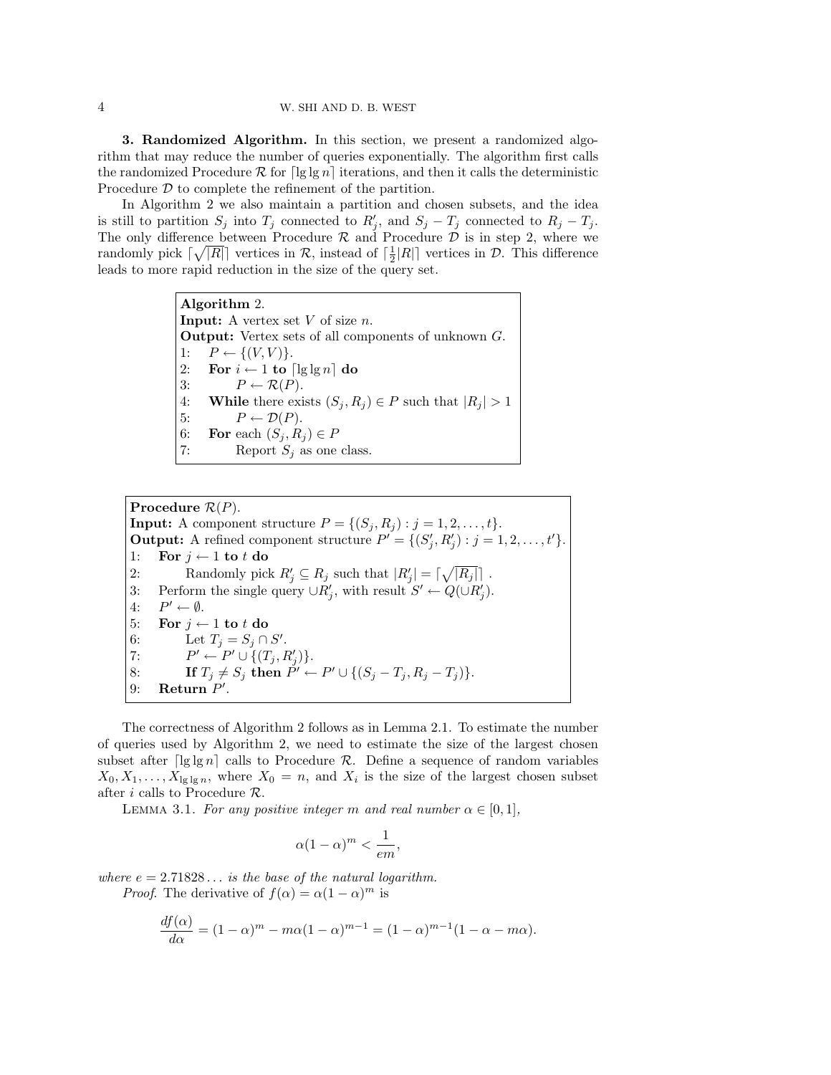3. Randomized Algorithm. In this section, we present a randomized algorithm that may reduce the number of queries exponentially. The algorithm first calls the randomized Procedure  $\mathcal R$  for  $\lceil \lg \lg n \rceil$  iterations, and then it calls the deterministic Procedure D to complete the refinement of the partition.

In Algorithm 2 we also maintain a partition and chosen subsets, and the idea is still to partition  $S_j$  into  $T_j$  connected to  $R'_j$ , and  $S_j - T_j$  connected to  $R_j - T_j$ . The only difference between Procedure  $R$  and Procedure  $D$  is in step 2, where we randomly pick  $\lceil \sqrt{|R|} \rceil$  vertices in  $\mathcal{R}$ , instead of  $\lceil \frac{1}{2}|R| \rceil$  vertices in  $\mathcal{D}$ . This difference leads to more rapid reduction in the size of the query set.

> Algorithm 2. **Input:** A vertex set  $V$  of size  $n$ . Output: Vertex sets of all components of unknown G. 1:  $P \leftarrow \{(V, V)\}.$ 2: For  $i \leftarrow 1$  to  $\lceil \lg \lg n \rceil$  do 3:  $P \leftarrow \mathcal{R}(P)$ . 4: While there exists  $(S_j, R_j) \in P$  such that  $|R_j| > 1$ 5:  $P \leftarrow \mathcal{D}(P)$ . 6: For each  $(S_i, R_j) \in P$ 7: Report  $S_i$  as one class.

Procedure  $\mathcal{R}(P)$ . **Input:** A component structure  $P = \{(S_j, R_j) : j = 1, 2, \ldots, t\}.$ **Output:** A refined component structure  $P' = \{(S'_j, R'_j) : j = 1, 2, \ldots, t'\}.$ 1: For  $j \leftarrow 1$  to t do 2: Randomly pick  $R'_j \subseteq R_j$  such that  $|R'_j| = \lceil \sqrt{|R_j|} \rceil$ . 3: Perform the single query  $\cup R'_j$ , with result  $S' \leftarrow Q(\cup R'_j)$ .  $4:$  $P' \leftarrow \emptyset$ . 5: For  $j \leftarrow 1$  to t do 6: Let  $T_j = S_j \cap S'$ . 7:  $P' \leftarrow P' \cup \{(T_j, R'_j)\}.$ 8: If  $T_j \neq S_j$  then  $P' \leftarrow P' \cup \{(S_j - T_j, R_j - T_j)\}.$ 9: Return  $P'$ .

The correctness of Algorithm 2 follows as in Lemma 2.1. To estimate the number of queries used by Algorithm 2, we need to estimate the size of the largest chosen subset after  $\lceil \lg \lg n \rceil$  calls to Procedure R. Define a sequence of random variables  $X_0, X_1, \ldots, X_{\lg\lg n}$ , where  $X_0 = n$ , and  $X_i$  is the size of the largest chosen subset after i calls to Procedure  $R$ .

LEMMA 3.1. For any positive integer m and real number  $\alpha \in [0,1]$ ,

$$
\alpha (1 - \alpha)^m < \frac{1}{em},
$$

where  $e = 2.71828...$  is the base of the natural logarithm.

*Proof.* The derivative of  $f(\alpha) = \alpha(1-\alpha)^m$  is

$$
\frac{df(\alpha)}{d\alpha} = (1 - \alpha)^m - m\alpha(1 - \alpha)^{m-1} = (1 - \alpha)^{m-1}(1 - \alpha - m\alpha).
$$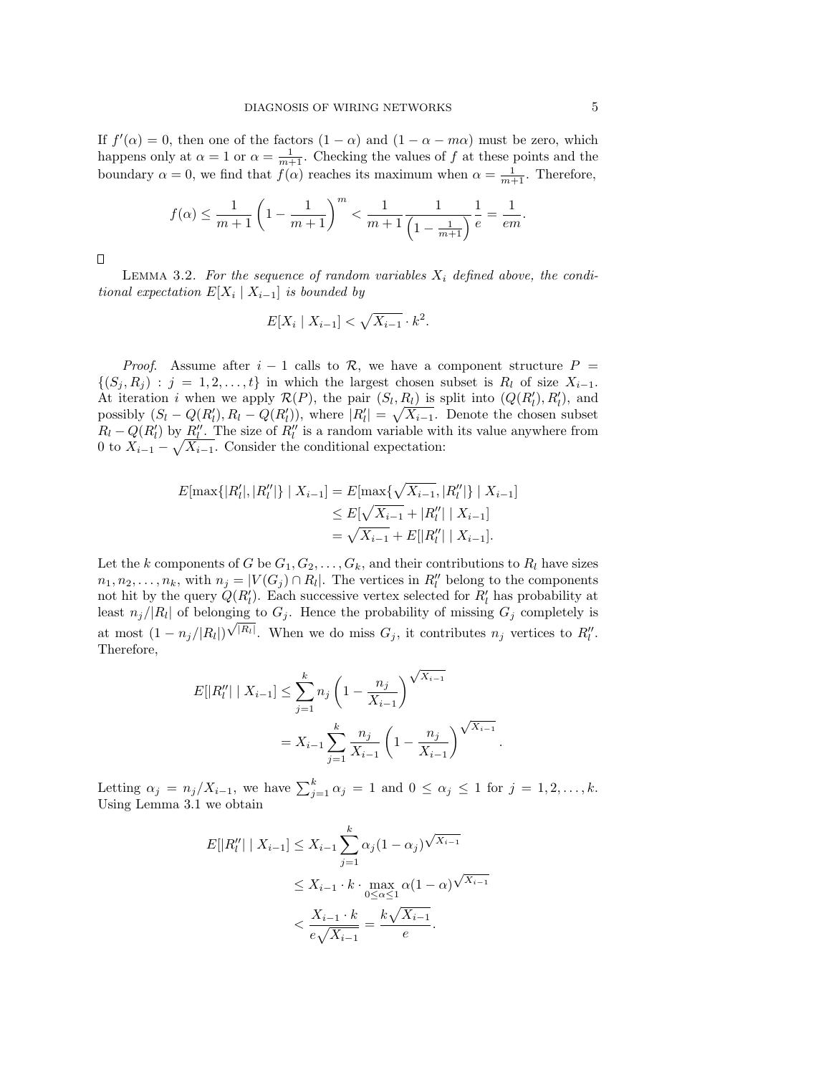If  $f'(\alpha) = 0$ , then one of the factors  $(1 - \alpha)$  and  $(1 - \alpha - m\alpha)$  must be zero, which happens only at  $\alpha = 1$  or  $\alpha = \frac{1}{m+1}$ . Checking the values of f at these points and the boundary  $\alpha = 0$ , we find that  $f(\alpha)$  reaches its maximum when  $\alpha = \frac{1}{m+1}$ . Therefore,

$$
f(\alpha) \le \frac{1}{m+1} \left(1 - \frac{1}{m+1}\right)^m < \frac{1}{m+1} \frac{1}{\left(1 - \frac{1}{m+1}\right)} \frac{1}{e} = \frac{1}{em}.
$$

 $\Box$ 

LEMMA 3.2. For the sequence of random variables  $X_i$  defined above, the conditional expectation  $E[X_i | X_{i-1}]$  is bounded by

$$
E[X_i \mid X_{i-1}] < \sqrt{X_{i-1}} \cdot k^2.
$$

*Proof.* Assume after  $i - 1$  calls to R, we have a component structure  $P =$  $\{(S_i, R_i) : j = 1, 2, \ldots, t\}$  in which the largest chosen subset is  $R_i$  of size  $X_{i-1}$ . At iteration i when we apply  $\mathcal{R}(P)$ , the pair  $(S_l, R_l)$  is split into  $(Q(R'_l), R'_l)$ , and possibly  $(S_l - Q(R'_l), R_l - Q(R'_l))$ , where  $|R'_l| = \sqrt{X_{i-1}}$ . Denote the chosen subset  $R_l - Q(R'_l)$  by  $R''_l$ . The size of  $R''_l$  is a random variable with its value anywhere from 0 to  $X_{i-1} - \sqrt{X_{i-1}}$ . Consider the conditional expectation:

$$
E[\max\{|R'_l|, |R''_l|\} | X_{i-1}] = E[\max\{\sqrt{X_{i-1}}, |R''_l|\} | X_{i-1}]
$$
  
\n
$$
\leq E[\sqrt{X_{i-1}} + |R''_l| | X_{i-1}]
$$
  
\n
$$
= \sqrt{X_{i-1}} + E[|R''_l| | X_{i-1}].
$$

Let the k components of G be  $G_1, G_2, \ldots, G_k$ , and their contributions to  $R_l$  have sizes  $n_1, n_2, \ldots, n_k$ , with  $n_j = |V(G_j) \cap R_l|$ . The vertices in  $R_l''$  belong to the components not hit by the query  $Q(R'_l)$ . Each successive vertex selected for  $R'_l$  has probability at least  $n_j/|R_l|$  of belonging to  $G_j$ . Hence the probability of missing  $G_j$  completely is at most  $(1 - n_j/|R_l|)\sqrt{|R_l|}$ . When we do miss  $G_j$ , it contributes  $n_j$  vertices to  $R_l''$ . Therefore,

$$
E[|R''_i| \mid X_{i-1}] \le \sum_{j=1}^k n_j \left(1 - \frac{n_j}{X_{i-1}}\right)^{\sqrt{X_{i-1}}}
$$

$$
= X_{i-1} \sum_{j=1}^k \frac{n_j}{X_{i-1}} \left(1 - \frac{n_j}{X_{i-1}}\right)^{\sqrt{X_{i-1}}}
$$

.

Letting  $\alpha_j = n_j/X_{i-1}$ , we have  $\sum_{j=1}^k \alpha_j = 1$  and  $0 \le \alpha_j \le 1$  for  $j = 1, 2, ..., k$ . Using Lemma 3.1 we obtain

$$
E[|R''_l| | X_{i-1}] \le X_{i-1} \sum_{j=1}^k \alpha_j (1 - \alpha_j) \sqrt{X_{i-1}}
$$
  

$$
\le X_{i-1} \cdot k \cdot \max_{0 \le \alpha \le 1} \alpha (1 - \alpha) \sqrt{X_{i-1}}
$$
  

$$
< \frac{X_{i-1} \cdot k}{e \sqrt{X_{i-1}}} = \frac{k \sqrt{X_{i-1}}}{e}.
$$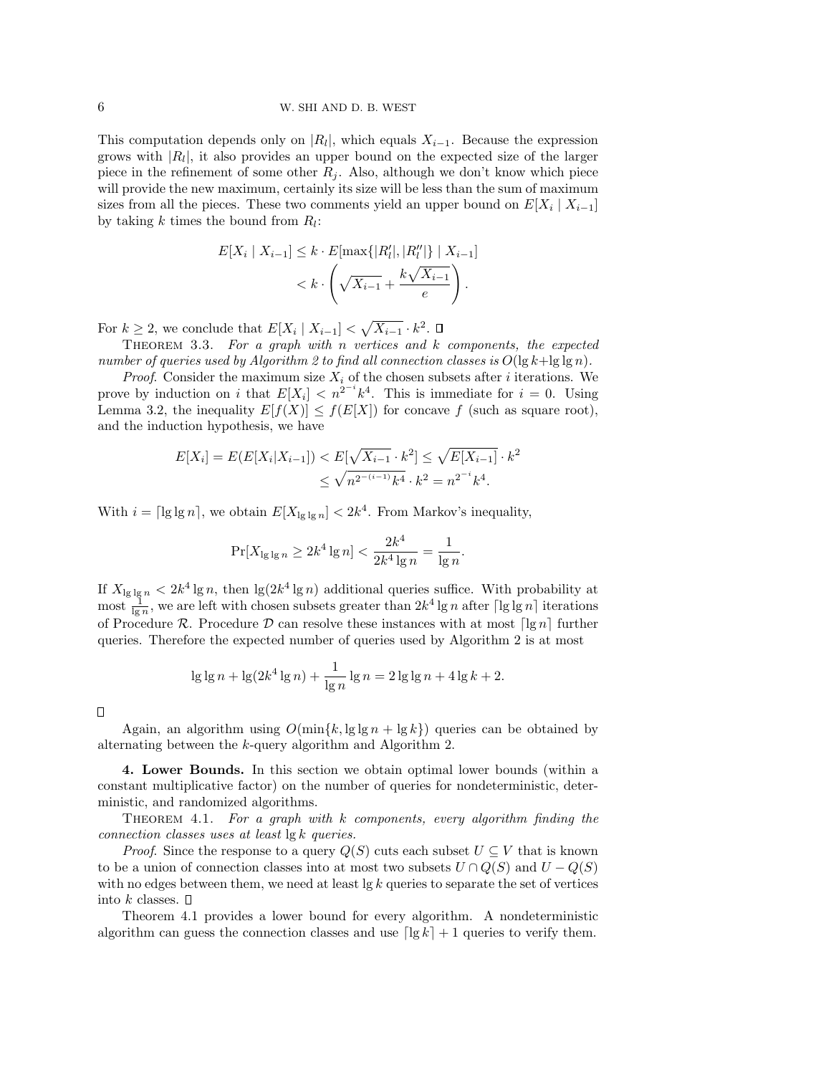This computation depends only on  $|R_l|$ , which equals  $X_{i-1}$ . Because the expression grows with  $|R_l|$ , it also provides an upper bound on the expected size of the larger piece in the refinement of some other  $R_i$ . Also, although we don't know which piece will provide the new maximum, certainly its size will be less than the sum of maximum sizes from all the pieces. These two comments yield an upper bound on  $E[X_i | X_{i-1}]$ by taking  $k$  times the bound from  $R_l$ :

$$
E[X_i | X_{i-1}] \le k \cdot E[\max\{|R'_l|, |R''_l|\} | X_{i-1}]
$$
  

$$
< k \cdot \left(\sqrt{X_{i-1}} + \frac{k\sqrt{X_{i-1}}}{e}\right).
$$

For  $k \geq 2$ , we conclude that  $E[X_i \mid X_{i-1}] < \sqrt{X_{i-1}} \cdot k^2$ .

THEOREM 3.3. For a graph with n vertices and  $k$  components, the expected number of queries used by Algorithm 2 to find all connection classes is  $O(\lg k + \lg \lg n)$ .

*Proof.* Consider the maximum size  $X_i$  of the chosen subsets after i iterations. We prove by induction on i that  $E[X_i] < n^{2^{-i}}k^4$ . This is immediate for  $i = 0$ . Using Lemma 3.2, the inequality  $E[f(X)] \le f(E[X])$  for concave f (such as square root), and the induction hypothesis, we have

$$
E[X_i] = E(E[X_i | X_{i-1}]) < E[\sqrt{X_{i-1}} \cdot k^2] \le \sqrt{E[X_{i-1}]} \cdot k^2
$$
\n
$$
\le \sqrt{n^{2^{-(i-1)}} k^4} \cdot k^2 = n^{2^{-i}} k^4.
$$

With  $i = \lceil \lg \lg n \rceil$ , we obtain  $E[X_{\lg \lg n}] < 2k^4$ . From Markov's inequality,

$$
\Pr[X_{\lg\lg n} \ge 2k^4 \lg n] < \frac{2k^4}{2k^4 \lg n} = \frac{1}{\lg n}.
$$

If  $X_{\lg\lg n} < 2k^4 \lg n$ , then  $\lg(2k^4 \lg n)$  additional queries suffice. With probability at most  $\frac{1}{\lg n}$ , we are left with chosen subsets greater than  $2k^4 \lg n$  after  $\lceil \lg \lg n \rceil$  iterations of Procedure R. Procedure D can resolve these instances with at most  $\lceil \lg n \rceil$  further queries. Therefore the expected number of queries used by Algorithm 2 is at most

$$
\lg \lg n + \lg(2k^4 \lg n) + \frac{1}{\lg n} \lg n = 2 \lg \lg n + 4 \lg k + 2.
$$

П

Again, an algorithm using  $O(\min\{k, \lg \lg n + \lg k\})$  queries can be obtained by alternating between the k-query algorithm and Algorithm 2.

4. Lower Bounds. In this section we obtain optimal lower bounds (within a constant multiplicative factor) on the number of queries for nondeterministic, deterministic, and randomized algorithms.

THEOREM 4.1. For a graph with  $k$  components, every algorithm finding the connection classes uses at least lg k queries.

*Proof.* Since the response to a query  $Q(S)$  cuts each subset  $U \subseteq V$  that is known to be a union of connection classes into at most two subsets  $U \cap Q(S)$  and  $U - Q(S)$ with no edges between them, we need at least  $\lg k$  queries to separate the set of vertices into k classes.  $\Box$ 

Theorem 4.1 provides a lower bound for every algorithm. A nondeterministic algorithm can guess the connection classes and use  $\lceil \lg k \rceil + 1$  queries to verify them.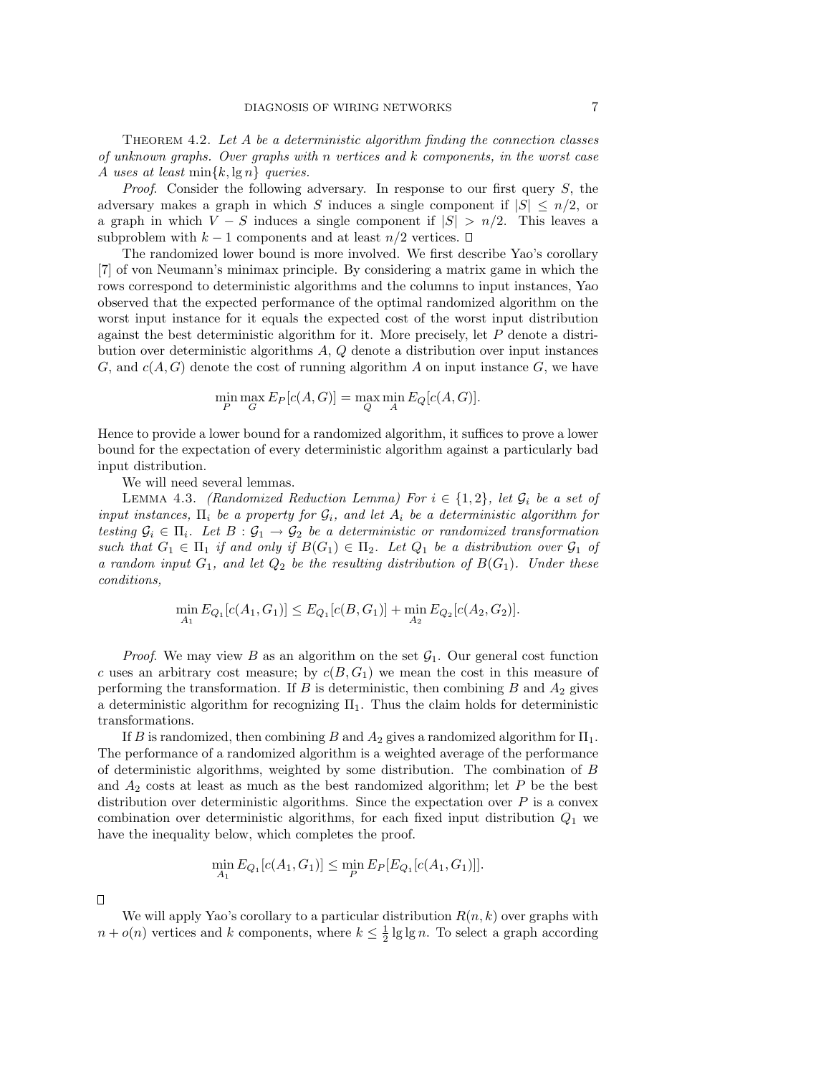THEOREM 4.2. Let  $A$  be a deterministic algorithm finding the connection classes of unknown graphs. Over graphs with n vertices and k components, in the worst case A uses at least  $\min\{k, \lg n\}$  queries.

*Proof.* Consider the following adversary. In response to our first query  $S$ , the adversary makes a graph in which S induces a single component if  $|S| \leq n/2$ , or a graph in which  $V - S$  induces a single component if  $|S| > n/2$ . This leaves a subproblem with  $k-1$  components and at least  $n/2$  vertices.  $\square$ 

The randomized lower bound is more involved. We first describe Yao's corollary [7] of von Neumann's minimax principle. By considering a matrix game in which the rows correspond to deterministic algorithms and the columns to input instances, Yao observed that the expected performance of the optimal randomized algorithm on the worst input instance for it equals the expected cost of the worst input distribution against the best deterministic algorithm for it. More precisely, let  $P$  denote a distribution over deterministic algorithms A, Q denote a distribution over input instances G, and  $c(A, G)$  denote the cost of running algorithm A on input instance G, we have

$$
\min_{P} \max_{G} E_P[c(A, G)] = \max_{Q} \min_{A} E_Q[c(A, G)].
$$

Hence to provide a lower bound for a randomized algorithm, it suffices to prove a lower bound for the expectation of every deterministic algorithm against a particularly bad input distribution.

We will need several lemmas.

LEMMA 4.3. (Randomized Reduction Lemma) For  $i \in \{1,2\}$ , let  $\mathcal{G}_i$  be a set of input instances,  $\Pi_i$  be a property for  $\mathcal{G}_i$ , and let  $A_i$  be a deterministic algorithm for testing  $\mathcal{G}_i \in \Pi_i$ . Let  $B: \mathcal{G}_1 \to \mathcal{G}_2$  be a deterministic or randomized transformation such that  $G_1 \in \Pi_1$  if and only if  $B(G_1) \in \Pi_2$ . Let  $Q_1$  be a distribution over  $\mathcal{G}_1$  of a random input  $G_1$ , and let  $Q_2$  be the resulting distribution of  $B(G_1)$ . Under these conditions,

$$
\min_{A_1} E_{Q_1}[c(A_1, G_1)] \le E_{Q_1}[c(B, G_1)] + \min_{A_2} E_{Q_2}[c(A_2, G_2)].
$$

*Proof.* We may view B as an algorithm on the set  $\mathcal{G}_1$ . Our general cost function c uses an arbitrary cost measure; by  $c(B, G_1)$  we mean the cost in this measure of performing the transformation. If B is deterministic, then combining B and  $A_2$  gives a deterministic algorithm for recognizing  $\Pi_1$ . Thus the claim holds for deterministic transformations.

If B is randomized, then combining B and  $A_2$  gives a randomized algorithm for  $\Pi_1$ . The performance of a randomized algorithm is a weighted average of the performance of deterministic algorithms, weighted by some distribution. The combination of  $B$ and  $A_2$  costs at least as much as the best randomized algorithm; let P be the best distribution over deterministic algorithms. Since the expectation over  $P$  is a convex combination over deterministic algorithms, for each fixed input distribution  $Q_1$  we have the inequality below, which completes the proof.

$$
\min_{A_1} E_{Q_1}[c(A_1, G_1)] \le \min_P E_P[E_{Q_1}[c(A_1, G_1)]].
$$

 $\Box$ 

We will apply Yao's corollary to a particular distribution  $R(n, k)$  over graphs with  $n + o(n)$  vertices and k components, where  $k \leq \frac{1}{2} \lg \lg n$ . To select a graph according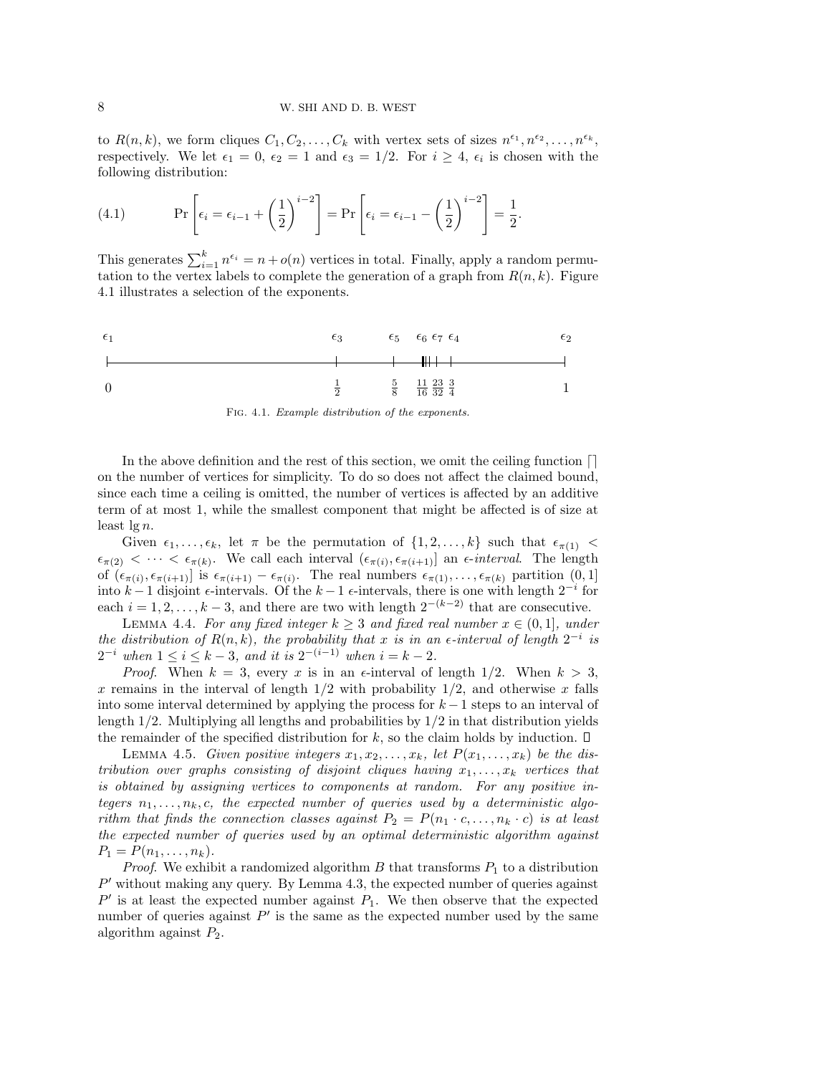to  $R(n,k)$ , we form cliques  $C_1, C_2, \ldots, C_k$  with vertex sets of sizes  $n^{\epsilon_1}, n^{\epsilon_2}, \ldots, n^{\epsilon_k}$ , respectively. We let  $\epsilon_1 = 0$ ,  $\epsilon_2 = 1$  and  $\epsilon_3 = 1/2$ . For  $i \geq 4$ ,  $\epsilon_i$  is chosen with the following distribution:

(4.1) 
$$
\Pr\left[\epsilon_i = \epsilon_{i-1} + \left(\frac{1}{2}\right)^{i-2}\right] = \Pr\left[\epsilon_i = \epsilon_{i-1} - \left(\frac{1}{2}\right)^{i-2}\right] = \frac{1}{2}.
$$

This generates  $\sum_{i=1}^{k} n^{\epsilon_i} = n + o(n)$  vertices in total. Finally, apply a random permutation to the vertex labels to complete the generation of a graph from  $R(n, k)$ . Figure 4.1 illustrates a selection of the exponents.



Fig. 4.1. Example distribution of the exponents.

In the above definition and the rest of this section, we omit the ceiling function  $\lceil \rceil$ on the number of vertices for simplicity. To do so does not affect the claimed bound, since each time a ceiling is omitted, the number of vertices is affected by an additive term of at most 1, while the smallest component that might be affected is of size at least  $\lg n$ .

Given  $\epsilon_1, \ldots, \epsilon_k$ , let  $\pi$  be the permutation of  $\{1, 2, \ldots, k\}$  such that  $\epsilon_{\pi(1)}$  <  $\epsilon_{\pi(2)} < \cdots < \epsilon_{\pi(k)}$ . We call each interval  $(\epsilon_{\pi(i)}, \epsilon_{\pi(i+1)})$  an  $\epsilon$ -interval. The length of  $(\epsilon_{\pi(i)}, \epsilon_{\pi(i+1)})$  is  $\epsilon_{\pi(i+1)} - \epsilon_{\pi(i)}$ . The real numbers  $\epsilon_{\pi(1)}, \ldots, \epsilon_{\pi(k)}$  partition  $(0, 1]$ into  $k-1$  disjoint  $\epsilon$ -intervals. Of the  $k-1$   $\epsilon$ -intervals, there is one with length  $2^{-i}$  for each  $i = 1, 2, \ldots, k - 3$ , and there are two with length  $2^{-(k-2)}$  that are consecutive.

LEMMA 4.4. For any fixed integer  $k \geq 3$  and fixed real number  $x \in (0,1]$ , under the distribution of  $R(n, k)$ , the probability that x is in an  $\epsilon$ -interval of length  $2^{-i}$  is  $2^{-i}$  when  $1 \leq i \leq k-3$ , and it is  $2^{-(i-1)}$  when  $i = k-2$ .

*Proof.* When  $k = 3$ , every x is in an  $\epsilon$ -interval of length 1/2. When  $k > 3$ , x remains in the interval of length  $1/2$  with probability  $1/2$ , and otherwise x falls into some interval determined by applying the process for  $k-1$  steps to an interval of length 1/2. Multiplying all lengths and probabilities by 1/2 in that distribution yields the remainder of the specified distribution for  $k$ , so the claim holds by induction.  $\square$ 

LEMMA 4.5. Given positive integers  $x_1, x_2, \ldots, x_k$ , let  $P(x_1, \ldots, x_k)$  be the distribution over graphs consisting of disjoint cliques having  $x_1, \ldots, x_k$  vertices that is obtained by assigning vertices to components at random. For any positive integers  $n_1, \ldots, n_k$ , c, the expected number of queries used by a deterministic algorithm that finds the connection classes against  $P_2 = P(n_1 \cdot c, \ldots, n_k \cdot c)$  is at least the expected number of queries used by an optimal deterministic algorithm against  $P_1 = P(n_1, \ldots, n_k).$ 

*Proof.* We exhibit a randomized algorithm  $B$  that transforms  $P_1$  to a distribution  $P'$  without making any query. By Lemma 4.3, the expected number of queries against  $P'$  is at least the expected number against  $P_1$ . We then observe that the expected number of queries against  $P'$  is the same as the expected number used by the same algorithm against  $P_2$ .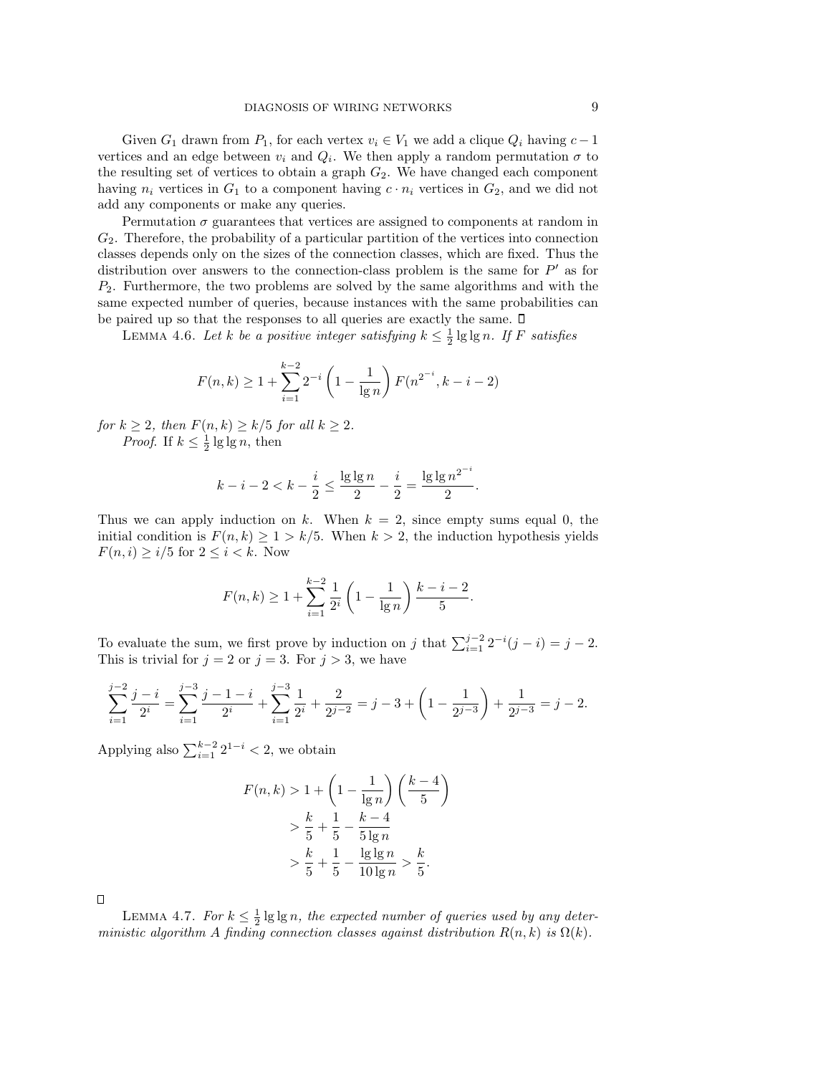Given  $G_1$  drawn from  $P_1$ , for each vertex  $v_i \in V_1$  we add a clique  $Q_i$  having  $c - 1$ vertices and an edge between  $v_i$  and  $Q_i$ . We then apply a random permutation  $\sigma$  to the resulting set of vertices to obtain a graph  $G_2$ . We have changed each component having  $n_i$  vertices in  $G_1$  to a component having  $c \cdot n_i$  vertices in  $G_2$ , and we did not add any components or make any queries.

Permutation  $\sigma$  guarantees that vertices are assigned to components at random in  $G_2$ . Therefore, the probability of a particular partition of the vertices into connection classes depends only on the sizes of the connection classes, which are fixed. Thus the distribution over answers to the connection-class problem is the same for  $P'$  as for  $P_2$ . Furthermore, the two problems are solved by the same algorithms and with the same expected number of queries, because instances with the same probabilities can be paired up so that the responses to all queries are exactly the same.  $\square$ 

LEMMA 4.6. Let k be a positive integer satisfying  $k \leq \frac{1}{2} \lg \lg n$ . If F satisfies

$$
F(n,k) \ge 1 + \sum_{i=1}^{k-2} 2^{-i} \left( 1 - \frac{1}{\lg n} \right) F(n^{2^{-i}}, k - i - 2)
$$

for  $k \geq 2$ , then  $F(n,k) \geq k/5$  for all  $k \geq 2$ . *Proof.* If  $k \leq \frac{1}{2} \lg \lg n$ , then

$$
k-i-2 < k-\frac{i}{2} \leq \frac{\lg \lg n}{2} - \frac{i}{2} = \frac{\lg \lg n^{2^{-i}}}{2}.
$$

Thus we can apply induction on k. When  $k = 2$ , since empty sums equal 0, the initial condition is  $F(n, k) \geq 1 > k/5$ . When  $k > 2$ , the induction hypothesis yields  $F(n, i) \geq i/5$  for  $2 \leq i < k$ . Now

$$
F(n,k) \ge 1 + \sum_{i=1}^{k-2} \frac{1}{2^i} \left( 1 - \frac{1}{\lg n} \right) \frac{k-i-2}{5}.
$$

To evaluate the sum, we first prove by induction on j that  $\sum_{i=1}^{j-2} 2^{-i}(j-i) = j-2$ . This is trivial for  $j = 2$  or  $j = 3$ . For  $j > 3$ , we have

$$
\sum_{i=1}^{j-2} \frac{j-i}{2^i} = \sum_{i=1}^{j-3} \frac{j-1-i}{2^i} + \sum_{i=1}^{j-3} \frac{1}{2^i} + \frac{2}{2^{j-2}} = j - 3 + \left(1 - \frac{1}{2^{j-3}}\right) + \frac{1}{2^{j-3}} = j - 2.
$$

Applying also  $\sum_{i=1}^{k-2} 2^{1-i} < 2$ , we obtain

$$
F(n,k) > 1 + \left(1 - \frac{1}{\lg n}\right) \left(\frac{k-4}{5}\right)
$$
  
>  $\frac{k}{5} + \frac{1}{5} - \frac{k-4}{5\lg n}$   
>  $\frac{k}{5} + \frac{1}{5} - \frac{\lg \lg n}{10\lg n} > \frac{k}{5}$ .

 $\Box$ 

LEMMA 4.7. For  $k \leq \frac{1}{2} \lg \lg n$ , the expected number of queries used by any deterministic algorithm A finding connection classes against distribution  $R(n, k)$  is  $\Omega(k)$ .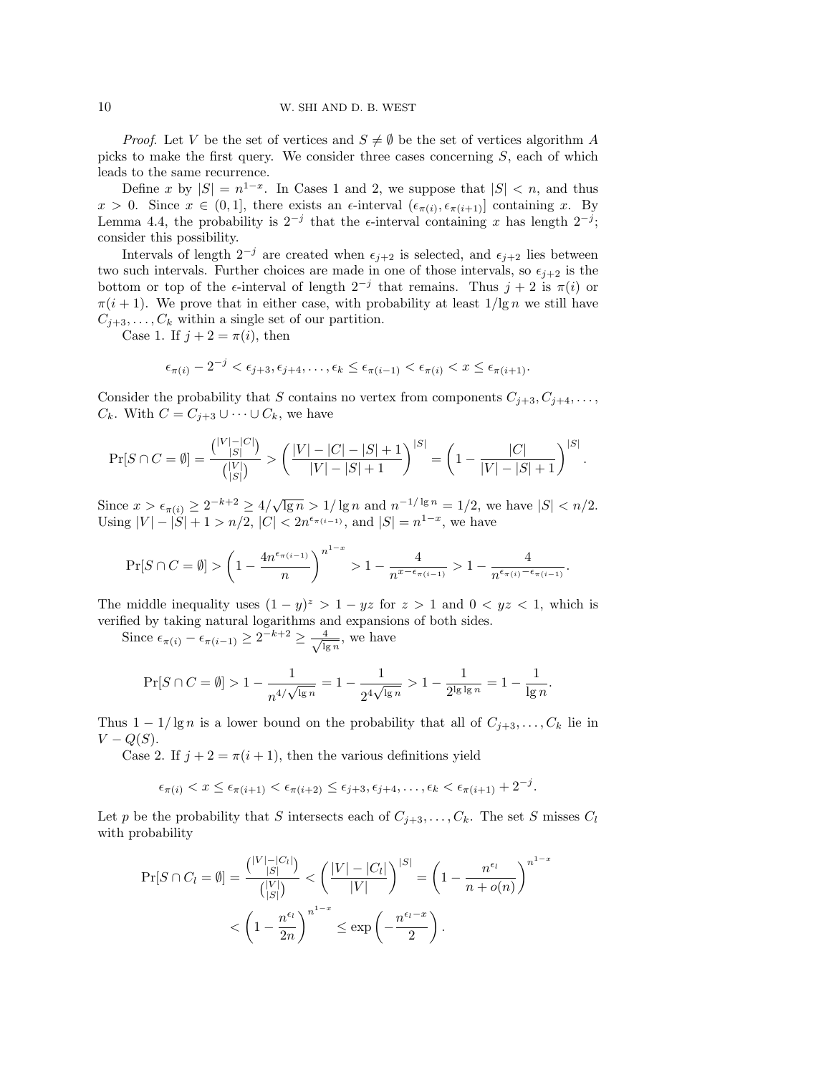*Proof.* Let V be the set of vertices and  $S \neq \emptyset$  be the set of vertices algorithm A picks to make the first query. We consider three cases concerning S, each of which leads to the same recurrence.

Define x by  $|S| = n^{1-x}$ . In Cases 1 and 2, we suppose that  $|S| < n$ , and thus  $x > 0$ . Since  $x \in (0,1]$ , there exists an  $\epsilon$ -interval  $(\epsilon_{\pi(i)}, \epsilon_{\pi(i+1)})$  containing x. By Lemma 4.4, the probability is  $2^{-j}$  that the  $\epsilon$ -interval containing x has length  $2^{-j}$ ; consider this possibility.

Intervals of length  $2^{-j}$  are created when  $\epsilon_{j+2}$  is selected, and  $\epsilon_{j+2}$  lies between two such intervals. Further choices are made in one of those intervals, so  $\epsilon_{i+2}$  is the bottom or top of the  $\epsilon$ -interval of length  $2^{-j}$  that remains. Thus  $j+2$  is  $\pi(i)$  or  $\pi(i+1)$ . We prove that in either case, with probability at least  $1/\lg n$  we still have  $C_{j+3}, \ldots, C_k$  within a single set of our partition.

Case 1. If  $j + 2 = \pi(i)$ , then

$$
\epsilon_{\pi(i)} - 2^{-j} < \epsilon_{j+3}, \epsilon_{j+4}, \dots, \epsilon_k \le \epsilon_{\pi(i-1)} < \epsilon_{\pi(i)} < x \le \epsilon_{\pi(i+1)}.
$$

Consider the probability that S contains no vertex from components  $C_{j+3}, C_{j+4}, \ldots$ ,  $C_k$ . With  $C = C_{j+3} \cup \cdots \cup C_k$ , we have

$$
\Pr[S \cap C = \emptyset] = \frac{\binom{|V| - |C|}{|S|}}{\binom{|V|}{|S|}} > \left(\frac{|V| - |C| - |S| + 1}{|V| - |S| + 1}\right)^{|S|} = \left(1 - \frac{|C|}{|V| - |S| + 1}\right)^{|S|}.
$$

Since  $x > \epsilon_{\pi(i)} \geq 2^{-k+2} \geq 4/\sqrt{2}$  $\overline{\lg n} > 1/\lg n$  and  $n^{-1/\lg n} = 1/2$ , we have  $|S| < n/2$ . Using  $|V| - |S| + 1 > n/2$ ,  $|C| < 2n^{\epsilon_{\pi(i-1)}}$ , and  $|S| = n^{1-x}$ , we have

$$
\Pr[S\cap C=\emptyset]> \left(1-\frac{4n^{\epsilon_{\pi(i-1)}}}{n}\right)^{n^{1-x}}>1-\frac{4}{n^{x-\epsilon_{\pi(i-1)}}}>1-\frac{4}{n^{\epsilon_{\pi(i)}-\epsilon_{\pi(i-1)}}}.
$$

The middle inequality uses  $(1 - y)^z > 1 - yz$  for  $z > 1$  and  $0 < yz < 1$ , which is verified by taking natural logarithms and expansions of both sides.

Since  $\epsilon_{\pi(i)} - \epsilon_{\pi(i-1)} \geq 2^{-k+2} \geq \frac{4}{\sqrt{k}}$  $\frac{4}{\lg n}$ , we have

$$
\Pr[S \cap C = \emptyset] > 1 - \frac{1}{n^{4/\sqrt{\lg n}}} = 1 - \frac{1}{2^{4\sqrt{\lg n}}} > 1 - \frac{1}{2^{\lg \lg n}} = 1 - \frac{1}{\lg n}.
$$

Thus  $1 - 1/\lg n$  is a lower bound on the probability that all of  $C_{j+3}, \ldots, C_k$  lie in  $V - Q(S)$ .

Case 2. If  $j + 2 = \pi(i + 1)$ , then the various definitions yield

$$
\epsilon_{\pi(i)} < x \leq \epsilon_{\pi(i+1)} < \epsilon_{\pi(i+2)} \leq \epsilon_{j+3}, \epsilon_{j+4}, \ldots, \epsilon_k < \epsilon_{\pi(i+1)} + 2^{-j}.
$$

Let p be the probability that S intersects each of  $C_{j+3}, \ldots, C_k$ . The set S misses  $C_l$ with probability

$$
\Pr[S \cap C_l = \emptyset] = \frac{\binom{|V| - |C_l|}{|S|}}{\binom{|V|}{|S|}} < \left(\frac{|V| - |C_l|}{|V|}\right)^{|S|} = \left(1 - \frac{n^{\epsilon_l}}{n + o(n)}\right)^{n^{1-x}}
$$
\n
$$
< \left(1 - \frac{n^{\epsilon_l}}{2n}\right)^{n^{1-x}} \le \exp\left(-\frac{n^{\epsilon_l - x}}{2}\right).
$$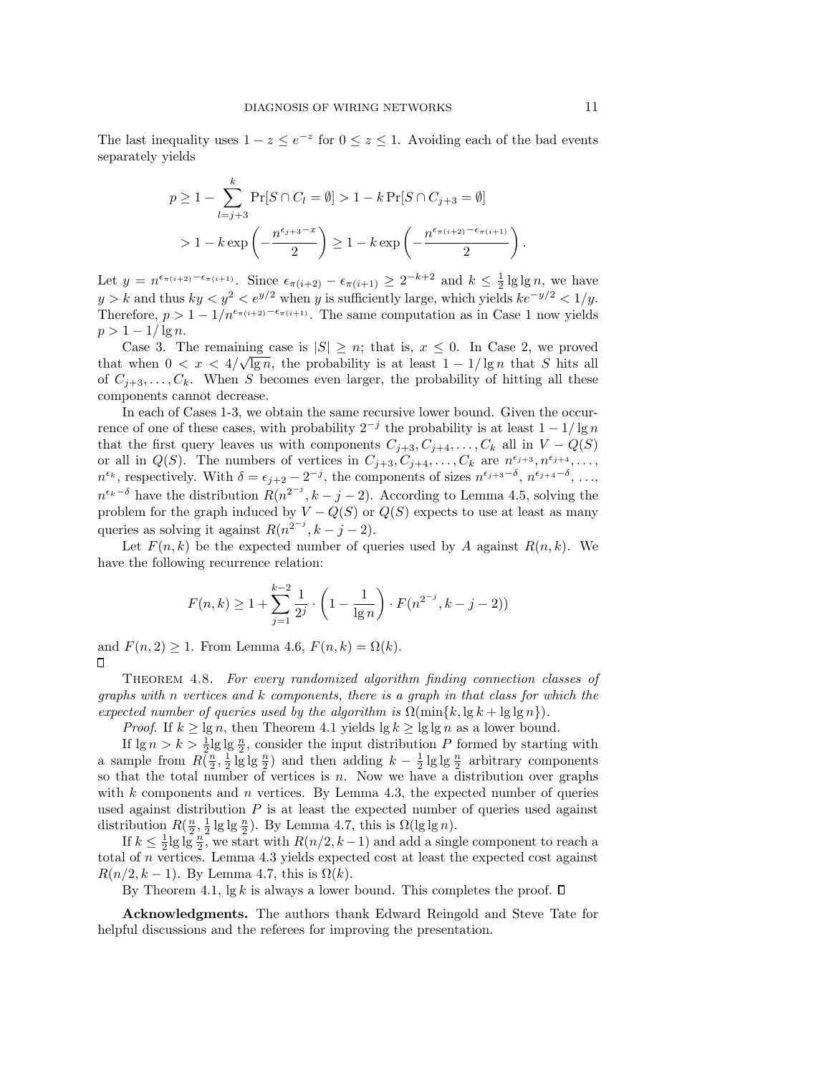The last inequality uses  $1 - z \le e^{-z}$  for  $0 \le z \le 1$ . Avoiding each of the bad events separately yields

$$
p \ge 1 - \sum_{l=j+3}^{k} \Pr[S \cap C_l = \emptyset] > 1 - k \Pr[S \cap C_{j+3} = \emptyset]
$$
  
> 1 - k exp  $\left(-\frac{n^{\epsilon_{j+3} - x}}{2}\right) \ge 1 - k \exp\left(-\frac{n^{\epsilon_{\pi(i+2)} - \epsilon_{\pi(i+1)}}}{2}\right).$ 

Let  $y = n^{\epsilon_{\pi(i+2)} - \epsilon_{\pi(i+1)}}$ . Since  $\epsilon_{\pi(i+2)} - \epsilon_{\pi(i+1)} \geq 2^{-k+2}$  and  $k \leq \frac{1}{2} \lg \lg n$ , we have  $y > k$  and thus  $ky < y^2 < e^{y/2}$  when y is sufficiently large, which yields  $ke^{-y/2} < 1/y$ . Therefore,  $p > 1 - 1/n^{\epsilon_{\pi(i+2)} - \epsilon_{\pi(i+1)}}$ . The same computation as in Case 1 now yields  $p > 1 - 1/\lg n$ .

Case 3. The remaining case is  $|S| \geq n$ ; that is,  $x \leq 0$ . In Case 2, we proved that when  $0 < x < 4/\sqrt{\lg n}$ , the probability is at least  $1 - 1/\lg n$  that S hits all of  $C_{j+3}, \ldots, C_k$ . When S becomes even larger, the probability of hitting all these components cannot decrease.

In each of Cases 1-3, we obtain the same recursive lower bound. Given the occurrence of one of these cases, with probability  $2^{-j}$  the probability is at least  $1 - 1/\lg n$ that the first query leaves us with components  $C_{j+3}, C_{j+4}, \ldots, C_k$  all in  $V - Q(S)$ or all in  $Q(S)$ . The numbers of vertices in  $C_{j+3}, C_{j+4}, \ldots, C_k$  are  $n^{\epsilon_{j+3}}, n^{\epsilon_{j+4}}, \ldots$ ,  $n^{\epsilon_k}$ , respectively. With  $\delta = \epsilon_{j+2} - 2^{-j}$ , the components of sizes  $n^{\epsilon_{j+3}-\delta}$ ,  $n^{\epsilon_{j+4}-\delta}$ , ...,  $n^{\epsilon_k-\delta}$  have the distribution  $R(n^{2^{-j}}, k-j-2)$ . According to Lemma 4.5, solving the problem for the graph induced by  $V - Q(S)$  or  $Q(S)$  expects to use at least as many queries as solving it against  $R(n^{2^{-j}}, k - j - 2)$ .

Let  $F(n, k)$  be the expected number of queries used by A against  $R(n, k)$ . We have the following recurrence relation:

$$
F(n,k) \ge 1 + \sum_{j=1}^{k-2} \frac{1}{2^j} \cdot \left(1 - \frac{1}{\lg n}\right) \cdot F(n^{2^{-j}}, k - j - 2))
$$

and  $F(n, 2) \geq 1$ . From Lemma 4.6,  $F(n, k) = \Omega(k)$ .  $\Box$ 

Theorem 4.8. For every randomized algorithm finding connection classes of graphs with  $n$  vertices and  $k$  components, there is a graph in that class for which the expected number of queries used by the algorithm is  $\Omega(\min\{k, \lg k + \lg \lg n\})$ .

*Proof.* If  $k \ge \lg n$ , then Theorem 4.1 yields  $\lg k \ge \lg \lg n$  as a lower bound.

If  $\lg n > k > \frac{1}{2} \lg \lg \frac{n}{2}$ , consider the input distribution P formed by starting with a sample from  $R(\frac{n}{2}, \frac{1}{2} \lg \lg \frac{n}{2})$  and then adding  $k - \frac{1}{2} \lg \lg \frac{n}{2}$  arbitrary components so that the total number of vertices is  $n$ . Now we have a distribution over graphs with  $k$  components and  $n$  vertices. By Lemma 4.3, the expected number of queries used against distribution  $P$  is at least the expected number of queries used against distribution  $R(\frac{n}{2}, \frac{1}{2} \lg \lg \frac{n}{2})$ . By Lemma 4.7, this is  $\Omega(\lg \lg n)$ .

If  $k \leq \frac{1}{2} \lg \lg \frac{n}{2}$ , we start with  $R(n/2, k-1)$  and add a single component to reach a total of n vertices. Lemma 4.3 yields expected cost at least the expected cost against  $R(n/2, k-1)$ . By Lemma 4.7, this is  $\Omega(k)$ .

By Theorem 4.1,  $\lg k$  is always a lower bound. This completes the proof.  $\square$ 

Acknowledgments. The authors thank Edward Reingold and Steve Tate for helpful discussions and the referees for improving the presentation.